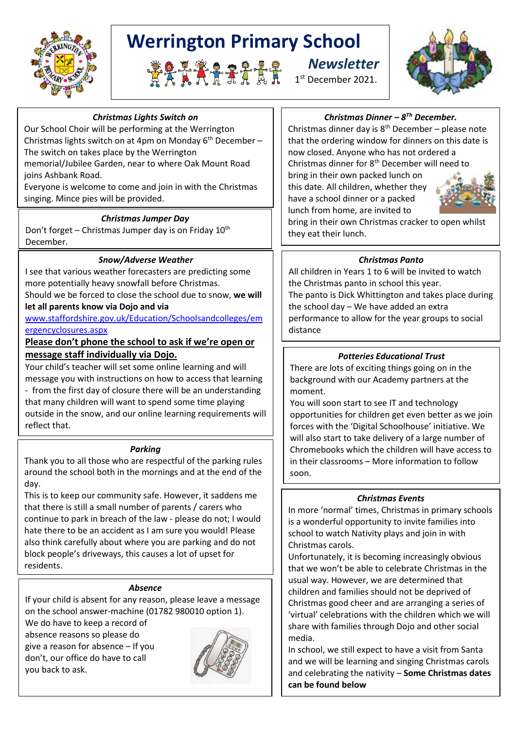

## **Werrington Primary School**





#### *Christmas Lights Switch on*

Our School Choir will be performing at the Werrington Christmas lights switch on at 4pm on Monday  $6<sup>th</sup>$  December – The switch on takes place by the Werrington memorial/Jubilee Garden, near to where Oak Mount Road joins Ashbank Road.

Everyone is welcome to come and join in with the Christmas singing. Mince pies will be provided.

#### *Christmas Jumper Day*

Don't forget – Christmas Jumper day is on Friday 10<sup>th</sup> December.

#### *Snow/Adverse Weather*

I see that various weather forecasters are predicting some more potentially heavy snowfall before Christmas. Should we be forced to close the school due to snow, **we will** 

**let all parents know via Dojo and via** 

[www.staffordshire.gov.uk/Education/Schoolsandcolleges/em](http://www.staffordshire.gov.uk/Education/Schoolsandcolleges/emergencyclosures.aspx) [ergencyclosures.aspx](http://www.staffordshire.gov.uk/Education/Schoolsandcolleges/emergencyclosures.aspx)

#### **Please don't phone the school to ask if we're open or message staff individually via Dojo.**

Your child's teacher will set some online learning and will message you with instructions on how to access that learning - from the first day of closure there will be an understanding that many children will want to spend some time playing outside in the snow, and our online learning requirements will reflect that.

#### *Parking*

Thank you to all those who are respectful of the parking rules around the school both in the mornings and at the end of the day.

This is to keep our community safe. However, it saddens me that there is still a small number of parents / carers who continue to park in breach of the law - please do not; I would hate there to be an accident as I am sure you would! Please also think carefully about where you are parking and do not block people's driveways, this causes a lot of upset for residents.

#### *Absence*

If your child is absent for any reason, please leave a message on the school answer-machine (01782 980010 option 1).

We do have to keep a record of absence reasons so please do give a reason for absence – If you don't, our office do have to call you back to ask.



#### *Christmas Dinner – 8 Th December.*

Christmas dinner day is  $8^{th}$  December – please note that the ordering window for dinners on this date is now closed. Anyone who has not ordered a Christmas dinner for 8<sup>th</sup> December will need to bring in their own packed lunch on this date. All children, whether they have a school dinner or a packed

lunch from home, are invited to bring in their own Christmas cracker to open whilst they eat their lunch.

#### *Christmas Panto*

All children in Years 1 to 6 will be invited to watch the Christmas panto in school this year. The panto is Dick Whittington and takes place during the school day – We have added an extra performance to allow for the year groups to social distance

#### *Potteries Educational Trust*

There are lots of exciting things going on in the background with our Academy partners at the moment.

You will soon start to see IT and technology opportunities for children get even better as we join forces with the 'Digital Schoolhouse' initiative. We will also start to take delivery of a large number of Chromebooks which the children will have access to in their classrooms – More information to follow soon.

#### *Christmas Events*

In more 'normal' times, Christmas in primary schools is a wonderful opportunity to invite families into school to watch Nativity plays and join in with Christmas carols.

Unfortunately, it is becoming increasingly obvious that we won't be able to celebrate Christmas in the usual way. However, we are determined that children and families should not be deprived of Christmas good cheer and are arranging a series of 'virtual' celebrations with the children which we will share with families through Dojo and other social media.

In school, we still expect to have a visit from Santa and we will be learning and singing Christmas carols and celebrating the nativity – **Some Christmas dates can be found below**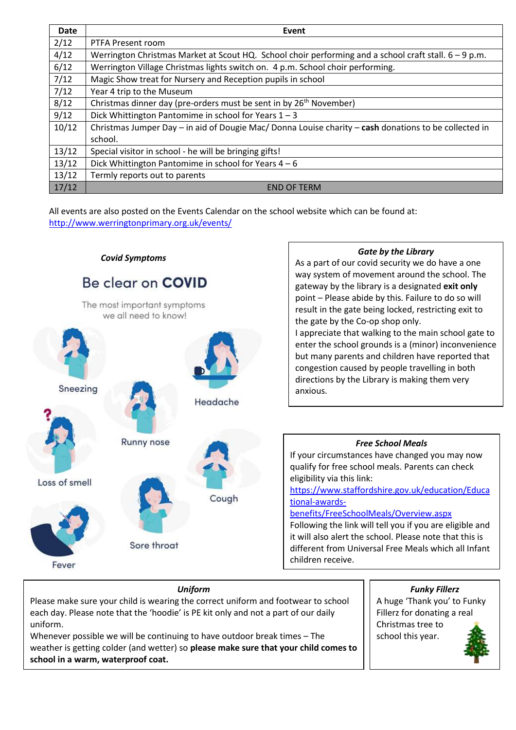| Date  | Event                                                                                                   |
|-------|---------------------------------------------------------------------------------------------------------|
| 2/12  | PTFA Present room                                                                                       |
| 4/12  | Werrington Christmas Market at Scout HQ. School choir performing and a school craft stall. $6 - 9$ p.m. |
| 6/12  | Werrington Village Christmas lights switch on. 4 p.m. School choir performing.                          |
| 7/12  | Magic Show treat for Nursery and Reception pupils in school                                             |
| 7/12  | Year 4 trip to the Museum                                                                               |
| 8/12  | Christmas dinner day (pre-orders must be sent in by 26 <sup>th</sup> November)                          |
| 9/12  | Dick Whittington Pantomime in school for Years 1-3                                                      |
| 10/12 | Christmas Jumper Day - in aid of Dougie Mac/ Donna Louise charity - cash donations to be collected in   |
|       | school.                                                                                                 |
| 13/12 | Special visitor in school - he will be bringing gifts!                                                  |
| 13/12 | Dick Whittington Pantomime in school for Years $4-6$                                                    |
| 13/12 | Termly reports out to parents                                                                           |
| 17/12 | <b>END OF TERM</b>                                                                                      |

All events are also posted on the Events Calendar on the school website which can be found at: <http://www.werringtonprimary.org.uk/events/>



#### *Uniform*

Please make sure your child is wearing the correct uniform and footwear to school each day. Please note that the 'hoodie' is PE kit only and not a part of our daily uniform.

Whenever possible we will be continuing to have outdoor break times – The weather is getting colder (and wetter) so **please make sure that your child comes to school in a warm, waterproof coat.**

*Funky Fillerz* A huge 'Thank you' to Funky Fillerz for donating a real Christmas tree to school this year.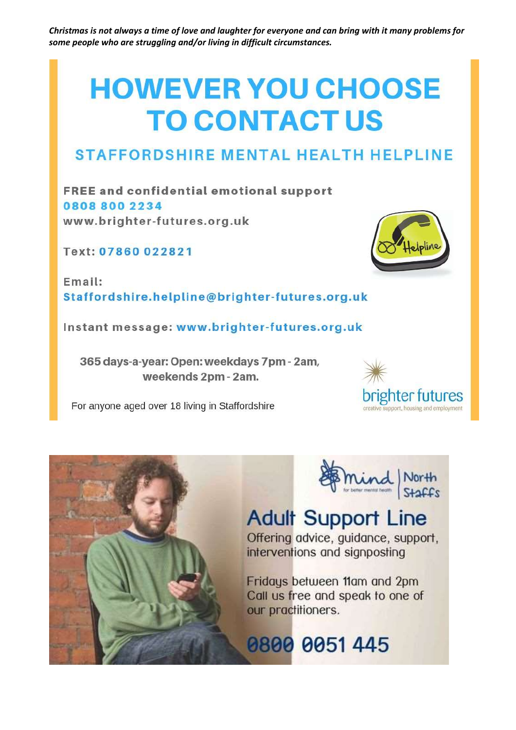Christmas is not always a time of love and laughter for everyone and can bring with it many problems for some people who are struggling and/or living in difficult circumstances.

# **HOWEVER YOU CHOOSE TO CONTACTUS**

### **STAFFORDSHIRE MENTAL HEALTH HELPLINE**

**FREE and confidential emotional support** 08088002234 www.brighter-futures.org.uk

Text: 07860 022821

Email: Staffordshire.helpline@brighter-futures.org.uk

Instant message: www.brighter-futures.org.uk

365 days-a-year: Open: weekdays 7pm - 2am, weekends 2pm - 2am.

For anyone aged over 18 living in Staffordshire





## **Adult Support Line**

Offering advice, guidance, support, interventions and signposting

Fridays between 11am and 2pm Call us free and speak to one of our practitioners.

0800 0051 445